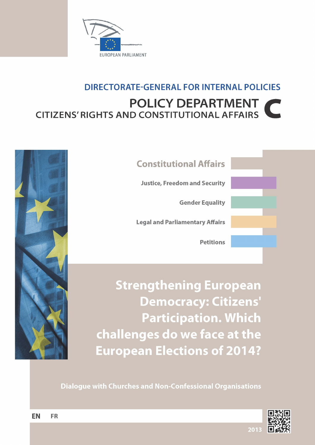

## **DIRECTORATE-GENERAL FOR INTERNAL POLICIES POLICY DEPARTMENT CITIZENS' RIGHTS AND CONSTITUTIONAL AFFAIRS**



**Constitutional Affairs Justice, Freedom and Security Gender Equality Legal and Parliamentary Affairs Petitions** 

**Strengthening European Democracy: Citizens' Participation. Which** challenges do we face at the **European Elections of 2014?** 

**Dialogue with Churches and Non-Confessional Organisations** 

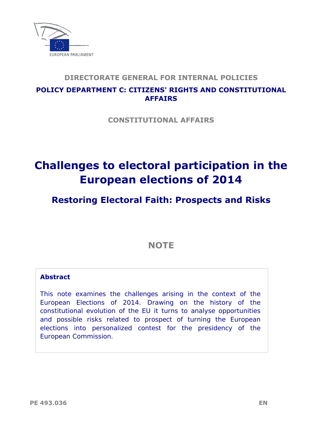

### **DIRECTORATE GENERAL FOR INTERNAL POLICIES**

## **POLICY DEPARTMENT C: CITIZENS' RIGHTS AND CONSTITUTIONAL**

**CONSTITUTIONAL AFFAIRS** 

## **Challenges to electoral participation in the European elections of 2014**

## **Restoring Electoral Faith: Prospects and Risks**

**NOTE** 

#### **Abstract**

This note examines the challenges arising in the context of the European Elections of 2014. Drawing on the history of the constitutional evolution of the EU it turns to analyse opportunities and possible risks related to prospect of turning the European elections into personalized contest for the presidency of the European Commission.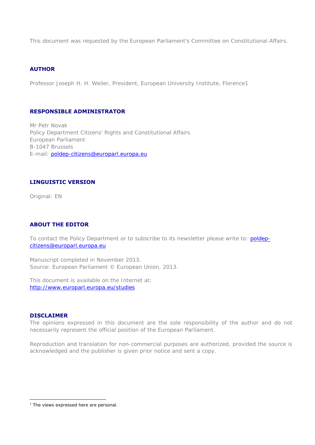This document was requested by the European Parliament's Committee on Constitutional Affairs.

#### **AUTHOR**

Professor Joseph H. H. Weiler, President, European University Institute, Florence1

#### **RESPONSIBLE ADMINISTRATOR**

Mr Petr Novak Policy Department Citizens' Rights and Constitutional Affairs European Parliament B-1047 Brussels E-mail: poldep-citizens@europarl.europa.eu

#### **LINGUISTIC VERSION**

Original: EN

#### **ABOUT THE EDITOR**

To contact the Policy Department or to subscribe to its newsletter please write to: poldepcitizens@europarl.europa.eu

Manuscript completed in November 2013. Source: European Parliament © European Union, 2013.

 http://www.europarl.europa.eu/studiesThis document is available on the Internet at:

#### **DISCLAIMER**

1

The opinions expressed in this document are the sole responsibility of the author and do not necessarily represent the official position of the European Parliament.

Reproduction and translation for non-commercial purposes are authorized, provided the source is acknowledged and the publisher is given prior notice and sent a copy.

<sup>&</sup>lt;sup>1</sup> The views expressed here are personal.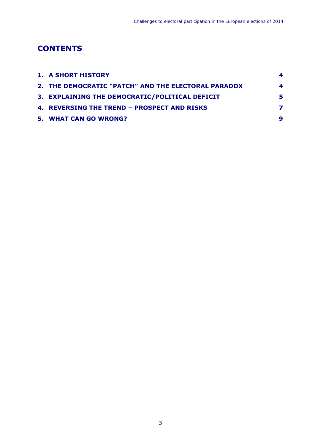### **CONTENTS**

| <b>1. A SHORT HISTORY</b>                           | 4 |
|-----------------------------------------------------|---|
| 2. THE DEMOCRATIC "PATCH" AND THE ELECTORAL PARADOX | 4 |
| 3. EXPLAINING THE DEMOCRATIC/POLITICAL DEFICIT      | 5 |
| 4. REVERSING THE TREND - PROSPECT AND RISKS         |   |
| <b>5. WHAT CAN GO WRONG?</b>                        |   |

<span id="page-4-0"></span>\_\_\_\_\_\_\_\_\_\_\_\_\_\_\_\_\_\_\_\_\_\_\_\_\_\_\_\_\_\_\_\_\_\_\_\_\_\_\_\_\_\_\_\_\_\_\_\_\_\_\_\_\_\_\_\_\_\_\_\_\_\_\_\_\_\_\_\_\_\_\_\_\_\_\_\_\_\_\_\_\_\_\_\_\_\_\_\_\_\_\_\_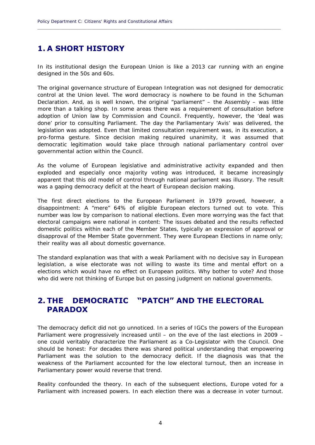### **1. A SHORT HISTORY**

In its institutional design the European Union is like a 2013 car running with an engine designed in the 50s and 60s.

<span id="page-5-0"></span>**\_\_\_\_\_\_\_\_\_\_\_\_\_\_\_\_\_\_\_\_\_\_\_\_\_\_\_\_\_\_\_\_\_\_\_\_\_\_\_\_\_\_\_\_\_\_\_\_\_\_\_\_\_\_\_\_\_\_\_\_\_\_\_\_\_\_\_\_\_\_\_\_\_\_\_\_\_\_\_\_\_\_\_\_\_\_\_\_\_\_\_\_** 

governmental action within the Council. The original governance structure of European Integration was not designed for democratic control at the Union level. The word democracy is nowhere to be found in the Schuman Declaration. And, as is well known, the original "parliament" – the Assembly – was little more than a talking shop. In some areas there was a requirement of consultation before adoption of Union law by Commission and Council. Frequently, however, the 'deal was done' prior to consulting Parliament. The day the Parliamentary 'Avis' was delivered, the legislation was adopted. Even that limited consultation requirement was, in its execution, a pro-forma gesture. Since decision making required unanimity, it was assumed that democratic legitimation would take place through national parliamentary control over

As the volume of European legislative and administrative activity expanded and then exploded and especially once majority voting was introduced, it became increasingly apparent that this old model of control through national parliament was illusory. The result was a gaping democracy deficit at the heart of European decision making.

their reality was all about domestic governance. The first direct elections to the European Parliament in 1979 proved, however, a disappointment: A "mere" 64% of eligible European electors turned out to vote. This number was low by comparison to national elections. Even more worrying was the fact that electoral campaigns were national in content: The issues debated and the results reflected domestic politics within each of the Member States, typically an expression of approval or disapproval of the Member State government. They were European Elections in name only;

The standard explanation was that with a weak Parliament with no decisive say in European legislation, a wise electorate was not willing to waste its time and mental effort on a elections which would have no effect on European politics. Why bother to vote? And those who did were not thinking of Europe but on passing judgment on national governments.

### **2. THE DEMOCRATIC "PATCH" AND THE ELECTORAL PARADOX**

The democracy deficit did not go unnoticed. In a series of IGCs the powers of the European Parliament were progressively increased until – on the eve of the last elections in 2009 – one could veritably characterize the Parliament as a Co-Legislator with the Council. One should be honest: For decades there was shared political understanding that empowering Parliament was the solution to the democracy deficit. If the diagnosis was that the weakness of the Parliament accounted for the low electoral turnout, then an increase in Parliamentary power would reverse that trend.

Reality confounded the theory. In each of the subsequent elections, Europe voted for a Parliament with increased powers. In each election there was a decrease in voter turnout.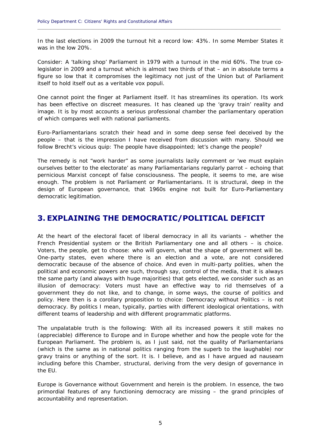In the last elections in 2009 the turnout hit a record low: 43%. In some Member States it was in the low 20%.

<span id="page-6-0"></span>**\_\_\_\_\_\_\_\_\_\_\_\_\_\_\_\_\_\_\_\_\_\_\_\_\_\_\_\_\_\_\_\_\_\_\_\_\_\_\_\_\_\_\_\_\_\_\_\_\_\_\_\_\_\_\_\_\_\_\_\_\_\_\_\_\_\_\_\_\_\_\_\_\_\_\_\_\_\_\_\_\_\_\_\_\_\_\_\_\_\_\_\_** 

Consider: A 'talking shop' Parliament in 1979 with a turnout in the mid 60%. The true colegislator in 2009 and a turnout which is almost two thirds of that – an in absolute terms a figure so low that it compromises the legitimacy not just of the Union but of Parliament itself to hold itself out as a veritable *vox populi*.

One cannot point the finger at Parliament itself. It has streamlines its operation. Its work has been effective on discreet measures. It has cleaned up the 'gravy train' reality and image. It is by most accounts a serious professional chamber the parliamentary operation of which compares well with national parliaments.

Euro-Parliamentarians scratch their head and in some deep sense feel deceived by the people – that is the impression I have received from discussion with many. Should we follow Brecht's vicious quip: The people have disappointed; let's change the people?

 democratic legitimation. The remedy is not "work harder" as some journalists lazily comment or 'we must explain ourselves better to the electorate' as many Parliamentarians regularly parrot – echoing that pernicious Marxist concept of false consciousness. The people, it seems to me, are wise enough. The problem is not Parliament or Parliamentarians. It is structural, deep in the design of European governance, that 1960s engine not built for Euro-Parliamentary

### **3. EXPLAINING THE DEMOCRATIC/POLITICAL DEFICIT**

 Voters, the people, get to choose: who will govern, what the shape of government will be. At the heart of the electoral facet of liberal democracy in all its variants – whether the French Presidential system or the British Parliamentary one and all others – is choice. One-party states, even where there is an election and a vote, are not considered democratic because of the absence of choice. And even in multi-party *polities*, when the political and economic powers are such, through say, control of the media, that it is always the same party (and always with huge majorities) that gets elected, we consider such as an illusion of democracy: Voters must have an effective way to rid themselves of a government they do not like, and to change, in some ways, the course of politics and policy. Here then is a corollary proposition to choice: Democracy without Politics – is not democracy. By politics I mean, typically, parties with different ideological orientations, with different teams of leadership and with different programmatic platforms.

The unpalatable truth is the following: With all its increased powers it still makes no (appreciable) difference to Europe and in Europe whether and how the people vote for the European Parliament. The problem is, as I just said, not the quality of Parliamentarians (which is the same as in national politics ranging from the superb to the laughable) nor gravy trains or anything of the sort. It is. I believe, and as I have argued ad nauseam including before this Chamber, structural, deriving from the very design of governance in the EU.

Europe is Governance without Government and herein is the problem. In essence, the two primordial features of any functioning democracy are missing – the grand principles of accountability and representation.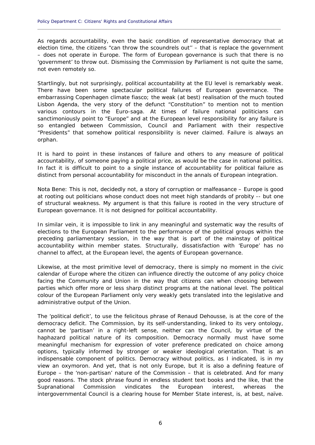As regards accountability, even the basic condition of representative democracy that at election time, the citizens "can throw the scoundrels out" – that is replace the government – does not operate in Europe. The form of European governance is such that there is no 'government' to throw out. Dismissing the Commission by Parliament is not quite the same, not even remotely so.

<span id="page-7-0"></span>**\_\_\_\_\_\_\_\_\_\_\_\_\_\_\_\_\_\_\_\_\_\_\_\_\_\_\_\_\_\_\_\_\_\_\_\_\_\_\_\_\_\_\_\_\_\_\_\_\_\_\_\_\_\_\_\_\_\_\_\_\_\_\_\_\_\_\_\_\_\_\_\_\_\_\_\_\_\_\_\_\_\_\_\_\_\_\_\_\_\_\_\_** 

Startlingly, but not surprisingly, political accountability at the EU level is remarkably weak. Lisbon Agenda, the very story of the defunct "Constitution" to mention not to mention There have been some spectacular political failures of European governance. The embarrassing Copenhagen climate fiasco; the weak (at best) realisation of the much touted various contours in the Euro-saga. At times of failure national politicians can sanctimoniously point to "Europe" and at the European level responsibility for any failure is so entangled between Commission, Council and Parliament with their respective "Presidents" that somehow political responsibility is never claimed. Failure is always an orphan.

 distinct from personal accountability for misconduct in the annals of European integration. It is hard to point in these instances of failure and others to any measure of political accountability, of someone paying a political price, as would be the case in national politics. In fact it is difficult to point to a single instance of accountability for political failure as

European governance. It is not designed for political accountability. *Nota Bene*: This is not, decidedly not, a story of corruption or malfeasance – Europe is good at rooting out politicians whose conduct does not meet high standards of probity -- but one of structural weakness. My argument is that this failure is rooted in the very structure of

In similar vein, it is impossible to link in any meaningful and systematic way the results of elections to the European Parliament to the performance of the political groups within the preceding parliamentary session, in the way that is part of the mainstay of political accountability within member states. Structurally, dissatisfaction with 'Europe' has no channel to affect, at the European level, the agents of European governance.

Likewise, at the most primitive level of democracy, there is simply no moment in the civic calendar of Europe where the citizen can influence directly the outcome of any policy choice facing the Community and Union in the way that citizens can when choosing between parties which offer more or less sharp distinct programs at the national level. The political colour of the European Parliament only very weakly gets translated into the legislative and administrative output of the Union.

The 'political deficit', to use the felicitous phrase of Renaud Dehousse, is at the core of the democracy deficit. The Commission, by its self-understanding, linked to its very ontology, cannot be 'partisan' in a right-left sense, neither can the Council, by virtue of the haphazard political nature of its composition. Democracy normally must have some meaningful mechanism for expression of voter preference predicated on choice among options, typically informed by stronger or weaker ideological orientation. That is an indispensable component of politics. Democracy without politics, as I indicated, is in my view an oxymoron. And yet, that is not only Europe, but it is also a defining feature of Europe – the 'non-partisan' nature of the Commission – that is celebrated. And for many good reasons. The stock phrase found in endless student text books and the like, that the Supranational Commission vindicates the European interest, whereas the intergovernmental Council is a clearing house for Member State interest, is, at best, naïve.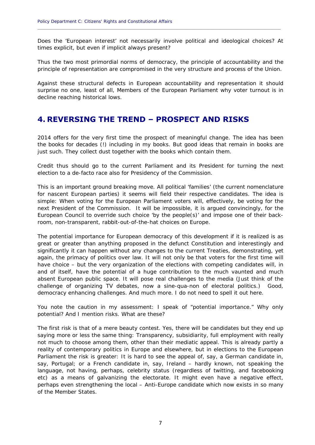times explicit, but even if implicit always present? Does the 'European interest' not necessarily involve political and ideological choices? At

<span id="page-8-0"></span>**\_\_\_\_\_\_\_\_\_\_\_\_\_\_\_\_\_\_\_\_\_\_\_\_\_\_\_\_\_\_\_\_\_\_\_\_\_\_\_\_\_\_\_\_\_\_\_\_\_\_\_\_\_\_\_\_\_\_\_\_\_\_\_\_\_\_\_\_\_\_\_\_\_\_\_\_\_\_\_\_\_\_\_\_\_\_\_\_\_\_\_\_** 

Thus the two most primordial norms of democracy, the principle of accountability and the principle of representation are compromised in the very structure and process of the Union.

Against these structural defects in European accountability and representation it should surprise no one, least of all, Members of the European Parliament why voter turnout is in decline reaching historical lows.

### **4. REVERSING THE TREND – PROSPECT AND RISKS**

2014 offers for the very first time the prospect of meaningful change. The idea has been the books for decades (!) including in my books. But good ideas that remain in books are just such. They collect dust together with the books which contain them.

Credit thus should go to the current Parliament and its President for turning the next election to a de-facto race also for Presidency of the Commission.

This is an important ground breaking move. All political 'families' (the current nomenclature for nascent European parties) it seems will field their respective candidates. The idea is simple: When voting for the European Parliament voters will, effectively, be voting for the next President of the Commission. It will be impossible, it is argued convincingly, for the European Council to override such choice 'by the people(s)' and impose one of their backroom, non-transparent, rabbit-out-of-the-hat choices on Europe.

 democracy enhancing challenges. And much more. I do not need to spell it out here. The potential importance for European democracy of this development if it is realized is as great or greater than anything proposed in the defunct Constitution and interestingly and significantly it can happen without any changes to the current Treaties, demonstrating, yet again, the primacy of politics over law. It will not only be that voters for the first time will have choice – but the very organization of the elections with competing candidates will, in and of itself, have the potential of a huge contribution to the much vaunted and much absent European public space. It will pose real challenges to the media (Just think of the challenge of organizing TV debates, now a *sine-qua-non* of electoral politics.) Good,

You note the caution in my assessment: I speak of "potential importance." Why only potential? And I mention risks. What are these?

The first risk is that of a mere beauty contest. Yes, there will be candidates but they end up saying more or less the same thing: Transparency, subsidiarity, full employment with really not much to choose among them, other than their mediatic appeal. This is already partly a reality of contemporary politics in Europe and elsewhere, but in elections to the European Parliament the risk is greater: It is hard to see the appeal of, say, a German candidate in, say, Portugal; or a French candidate in, say, Ireland – hardly known, not speaking the language, not having, perhaps, celebrity status (regardless of twitting, and facebooking etc) as a means of galvanizing the electorate. It might even have a negative effect, perhaps even strengthening the local – Anti-Europe candidate which now exists in so many of the Member States.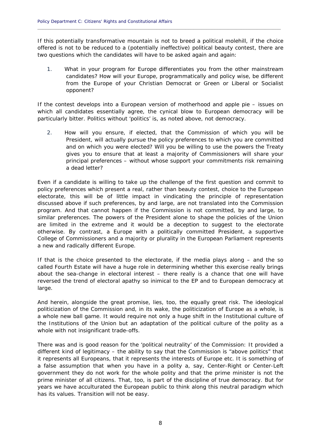If this potentially transformative mountain is not to breed a political molehill, if the choice offered is not to be reduced to a (potentially ineffective) political beauty contest, there are two questions which the candidates will have to be asked again and again:

<span id="page-9-0"></span>**\_\_\_\_\_\_\_\_\_\_\_\_\_\_\_\_\_\_\_\_\_\_\_\_\_\_\_\_\_\_\_\_\_\_\_\_\_\_\_\_\_\_\_\_\_\_\_\_\_\_\_\_\_\_\_\_\_\_\_\_\_\_\_\_\_\_\_\_\_\_\_\_\_\_\_\_\_\_\_\_\_\_\_\_\_\_\_\_\_\_\_\_** 

opponent?  $1<sub>1</sub>$ What in your program for Europe differentiates you from the other mainstream candidates? How will your Europe, *programmatically and policy wise*, be different from the Europe of your Christian Democrat or Green or Liberal or Socialist

particularly bitter. Politics without 'politics' is, as noted above, not democracy. If the contest develops into a European version of motherhood and apple pie – issues on which all candidates essentially agree, the cynical blow to European democracy will be

particularly bitter. Politics without 'politics' is, as noted above, not democracy.<br>2. How will you ensure, if elected, that the Commission of which you will be President, will actually pursue the policy preferences to which you are committed  $2.$ and on which you were elected? Will you be willing to use the powers the Treaty gives you to ensure that at least a majority of Commissioners will share your principal preferences – without whose support your commitments risk remaining a dead letter?

Even if a candidate is willing to take up the challenge of the first question and commit to policy preferences which present a real, rather than beauty contest, choice to the European electorate, this will be of little impact in vindicating the principle of representation discussed above if such preferences, by and large, are not translated into the Commission program. And that cannot happen if the Commission is not committed, by and large, to similar preferences. The powers of the President alone to shape the policies of the Union are limited in the extreme and it would be a deception to suggest to the electorate otherwise. By contrast, a Europe with a politically committed President, a supportive College of Commissioners and a majority or plurality in the European Parliament represents a new and radically different Europe.

large. If that is the choice presented to the electorate, if the media plays along – and the so called Fourth Estate will have a huge role in determining whether this exercise really brings about the sea-change in electoral interest – there really is a chance that one will have reversed the trend of electoral apathy so inimical to the EP and to European democracy at

 the Institutions of the Union but an adaptation of the political culture of the polity as a whole with not insignificant trade-offs. And herein, alongside the great promise, lies, too, the equally great risk. The ideological politicization of the Commission and, in its wake, the politicization of Europe as a whole, is a whole new ball game. It would require not only a huge shift in the Institutional culture of

 has its values. Transition will not be easy. There was and is good reason for the 'political neutrality' of the Commission: It provided a different kind of legitimacy – the ability to say that the Commission is "above politics" that it represents all Europeans, that it represents the interests of Europe etc. It is something of a false assumption that when you have in a polity a, say, Center-Right or Center-Left government they do not work for the whole polity and that the prime minister is not the prime minister of all citizens. That, too, is part of the discipline of true democracy. But for years we have acculturated the European public to think along this neutral paradigm which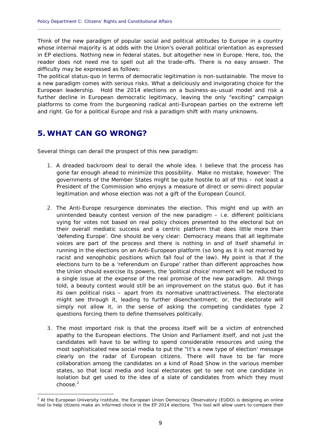Think of the new paradigm of popular social and political attitudes to Europe in a country whose internal majority is at odds with the Union's overall political orientation as expressed in EP elections. Nothing new in federal states, but altogether new in Europe. Here, too, the reader does not need me to spell out all the trade-offs. There is no easy answer. The difficulty may be expressed as follows:

<span id="page-10-0"></span>**\_\_\_\_\_\_\_\_\_\_\_\_\_\_\_\_\_\_\_\_\_\_\_\_\_\_\_\_\_\_\_\_\_\_\_\_\_\_\_\_\_\_\_\_\_\_\_\_\_\_\_\_\_\_\_\_\_\_\_\_\_\_\_\_\_\_\_\_\_\_\_\_\_\_\_\_\_\_\_\_\_\_\_\_\_\_\_\_\_\_\_\_** 

The political status-quo in terms of democratic legitimation is non-sustainable. The move to a new paradigm comes with serious risks. What a deliciously and invigorating choice for the European leadership. Hold the 2014 elections on a business-as-usual model and risk a further decline in European democratic legitimacy, leaving the only "exciting" campaign platforms to come from the burgeoning radical anti-European parties on the extreme left and right. Go for a political Europe and risk a paradigm shift with many unknowns.

### **5. WHAT CAN GO WRONG?**

1

Several things can derail the prospect of this new paradigm:

- legitimation and whose election was not a gift of the European Council. 1. A dreaded backroom deal to derail the whole idea. I believe that the process has gone far enough ahead to minimize this possibility. Make no mistake, however: The governments of the Member States might be quite hostile to all of this – not least a President of the Commission who enjoys a measure of direct or semi-direct popular
- questions forcing them to define themselves politically. legitimation and whose election was not a gift of the European Council.<br>2. The Anti-Europe resurgence dominates the election. This might end up with an unintended beauty contest version of the new paradigm – i.e. different politicians vying for votes not based on real policy choices presented to the electoral but on their overall mediatic success and a centric platform that does little more than 'defending Europe'. One should be very clear: Democracy means that all legitimate voices are part of the process and there is nothing in and of itself shameful in running in the elections on an Anti-European platform (so long as it is not marred by racist and xenophobic positions which fall foul of the law). My point is that if the elections turn to be a 'referendum on Europe' rather than different approaches how the Union should exercise its powers, the 'political choice' moment will be reduced to a single issue at the expense of the real promise of the new paradigm. All things told, a beauty contest would still be an improvement on the status quo. But it has its own political risks – apart from its normative unattractiveness. The electorate might see through it, leading to further disenchantment; or, the electorate will simply not allow it, in the sense of asking the competing candidates type 2
- choose. $2$ questions forcing them to define themselves politically.<br>3. The most important risk is that the process itself will be a victim of entrenched apathy to the European elections. The Union and Parliament itself, and not just the candidates will have to be willing to spend considerable resources and using the most sophisticated new social media to put the "It's a new type of election' message clearly on the radar of European citizens. There will have to be far more collaboration among the candidates on a kind of Road Show in the various member states, so that local media and local electorates get to see not one candidate in isolation but get used to the idea of a slate of candidates from which they must

 tool to help citizens make an informed choice in the EP 2014 elections. This tool will allow users to compare their <sup>2</sup> At the European University Institute, the European Union Democracy Observatory (EUDO) is designing an online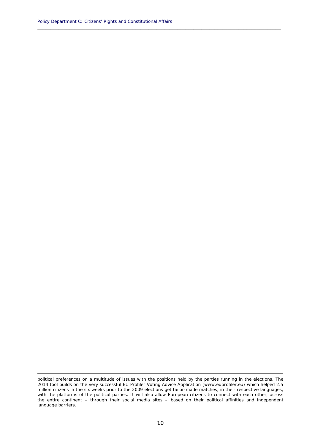**\_\_\_\_\_\_\_\_\_\_\_\_\_\_\_\_\_\_\_\_\_\_\_\_\_\_\_\_\_\_\_\_\_\_\_\_\_\_\_\_\_\_\_\_\_\_\_\_\_\_\_\_\_\_\_\_\_\_\_\_\_\_\_\_\_\_\_\_\_\_\_\_\_\_\_\_\_\_\_\_\_\_\_\_\_\_\_\_\_\_\_\_** 

<sup>1</sup>  with the platforms of the political parties. It will also allow European citizens to connect with each other, across political preferences on a multitude of issues with the positions held by the parties running in the elections. The 2014 tool builds on the very successful EU Profiler Voting Advice Application (www.euprofiler.eu) which helped 2.5 million citizens in the six weeks prior to the 2009 elections get tailor-made matches, in their respective languages, the entire continent – through their social media sites – based on their political affinities and independent language barriers.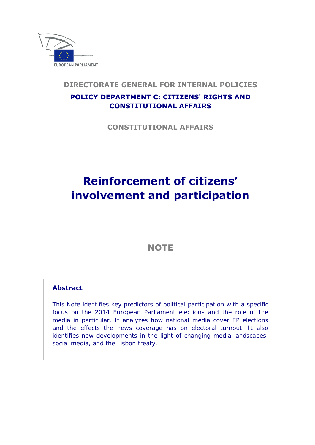

### **DIRECTORATE GENERAL FOR INTERNAL POLICIES**

### **POLICY DEPARTMENT C: CITIZENS' RIGHTS AND CONSTITUTIONAL AFFAIRS**

**CONSTITUTIONAL AFFAIRS** 

## **Reinforcement of citizens' involvement and participation**

### **NOTE**

#### **Abstract**

This Note identifies key predictors of political participation with a specific focus on the 2014 European Parliament elections and the role of the media in particular. It analyzes how national media cover EP elections and the effects the news coverage has on electoral turnout. It also identifies new developments in the light of changing media landscapes, social media, and the Lisbon treaty.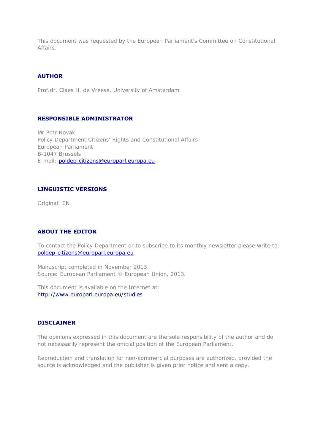This document was requested by the European Parliament's Committee on Constitutional Affairs.

#### **AUTHOR**

Prof.dr. Claes H. de Vreese, University of Amsterdam

#### **RESPONSIBLE ADMINISTRATOR**

Mr Petr Novak Policy Department Citizens' Rights and Constitutional Affairs European Parliament B-1047 Brussels E-mail: poldep-citizens@europarl.europa.eu

#### **LINGUISTIC VERSIONS**

Original: EN

#### **ABOUT THE EDITOR**

To contact the Policy Department or to subscribe to its monthly newsletter please write to: poldep-citizens@europarl.europa.eu

Manuscript completed in November 2013. Source: European Parliament © European Union, 2013.

This document is available on the Internet at: http://www.europarl.europa.eu/studies

#### **DISCLAIMER**

The opinions expressed in this document are the sole responsibility of the author and do not necessarily represent the official position of the European Parliament.

Reproduction and translation for non-commercial purposes are authorized, provided the source is acknowledged and the publisher is given prior notice and sent a copy.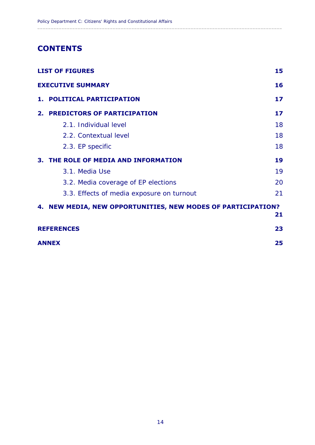### **CONTENTS**

| <b>LIST OF FIGURES</b> |                                                              | 15 |
|------------------------|--------------------------------------------------------------|----|
|                        | <b>EXECUTIVE SUMMARY</b>                                     | 16 |
|                        | 1. POLITICAL PARTICIPATION                                   | 17 |
|                        | 2. PREDICTORS OF PARTICIPATION                               | 17 |
|                        | 2.1. Individual level                                        | 18 |
|                        | 2.2. Contextual level                                        | 18 |
|                        | 2.3. EP specific                                             | 18 |
|                        | 3. THE ROLE OF MEDIA AND INFORMATION                         | 19 |
|                        | 3.1. Media Use                                               | 19 |
|                        | 3.2. Media coverage of EP elections                          | 20 |
|                        | 3.3. Effects of media exposure on turnout                    | 21 |
|                        | 4. NEW MEDIA, NEW OPPORTUNITIES, NEW MODES OF PARTICIPATION? | 21 |
|                        | <b>REFERENCES</b>                                            | 23 |
| <b>ANNEX</b>           |                                                              |    |

 $\_$  ,  $\_$  ,  $\_$  ,  $\_$  ,  $\_$  ,  $\_$  ,  $\_$  ,  $\_$  ,  $\_$  ,  $\_$  ,  $\_$  ,  $\_$  ,  $\_$  ,  $\_$  ,  $\_$  ,  $\_$  ,  $\_$  ,  $\_$  ,  $\_$  ,  $\_$  ,  $\_$  ,  $\_$  ,  $\_$  ,  $\_$  ,  $\_$  ,  $\_$  ,  $\_$  ,  $\_$  ,  $\_$  ,  $\_$  ,  $\_$  ,  $\_$  ,  $\_$  ,  $\_$  ,  $\_$  ,  $\_$  ,  $\_$  ,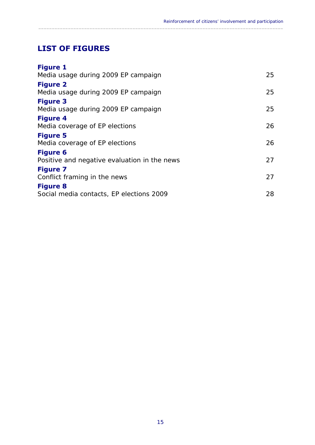### **LIST OF FIGURES**

| <b>Figure 1</b>                              |    |
|----------------------------------------------|----|
| Media usage during 2009 EP campaign          | 25 |
| <b>Figure 2</b>                              |    |
| Media usage during 2009 EP campaign          | 25 |
| <b>Figure 3</b>                              |    |
| Media usage during 2009 EP campaign          | 25 |
| <b>Figure 4</b>                              |    |
| Media coverage of EP elections               | 26 |
| <b>Figure 5</b>                              |    |
| Media coverage of EP elections               | 26 |
| <b>Figure 6</b>                              |    |
| Positive and negative evaluation in the news | 27 |
| <b>Figure 7</b>                              |    |
| Conflict framing in the news                 | 27 |
| <b>Figure 8</b>                              |    |
| Social media contacts, EP elections 2009     | 28 |

<span id="page-16-0"></span> $\_$  ,  $\_$  ,  $\_$  ,  $\_$  ,  $\_$  ,  $\_$  ,  $\_$  ,  $\_$  ,  $\_$  ,  $\_$  ,  $\_$  ,  $\_$  ,  $\_$  ,  $\_$  ,  $\_$  ,  $\_$  ,  $\_$  ,  $\_$  ,  $\_$  ,  $\_$  ,  $\_$  ,  $\_$  ,  $\_$  ,  $\_$  ,  $\_$  ,  $\_$  ,  $\_$  ,  $\_$  ,  $\_$  ,  $\_$  ,  $\_$  ,  $\_$  ,  $\_$  ,  $\_$  ,  $\_$  ,  $\_$  ,  $\_$  ,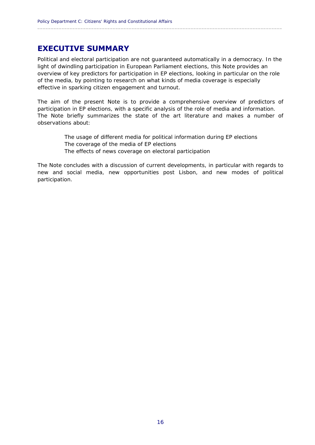### **EXECUTIVE SUMMARY**

Political and electoral participation are not guaranteed automatically in a democracy. In the light of dwindling participation in European Parliament elections, this Note provides an overview of key predictors for participation in EP elections, looking in particular on the role of the media, by pointing to research on what kinds of media coverage is especially effective in sparking citizen engagement and turnout.

<span id="page-17-0"></span> $\_$  ,  $\_$  ,  $\_$  ,  $\_$  ,  $\_$  ,  $\_$  ,  $\_$  ,  $\_$  ,  $\_$  ,  $\_$  ,  $\_$  ,  $\_$  ,  $\_$  ,  $\_$  ,  $\_$  ,  $\_$  ,  $\_$  ,  $\_$  ,  $\_$  ,  $\_$  ,  $\_$  ,  $\_$  ,  $\_$  ,  $\_$  ,  $\_$  ,  $\_$  ,  $\_$  ,  $\_$  ,  $\_$  ,  $\_$  ,  $\_$  ,  $\_$  ,  $\_$  ,  $\_$  ,  $\_$  ,  $\_$  ,  $\_$  ,

 participation in EP elections, with a specific analysis of the role of media and information. The aim of the present Note is to provide a comprehensive overview of predictors of The Note briefly summarizes the state of the art literature and makes a number of observations about:

> The usage of different media for political information during EP elections The coverage of the media of EP elections The effects of news coverage on electoral participation

participation. The Note concludes with a discussion of current developments, in particular with regards to new and social media, new opportunities post Lisbon, and new modes of political participation.<br>
16<br>
16<br>
16<br>
16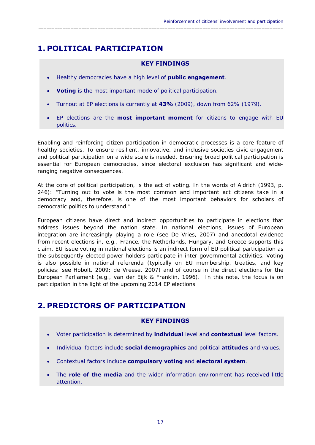### **1. POLITICAL PARTICIPATION**

#### **KEY FINDINGS**

<span id="page-18-0"></span> $\_$  ,  $\_$  ,  $\_$  ,  $\_$  ,  $\_$  ,  $\_$  ,  $\_$  ,  $\_$  ,  $\_$  ,  $\_$  ,  $\_$  ,  $\_$  ,  $\_$  ,  $\_$  ,  $\_$  ,  $\_$  ,  $\_$  ,  $\_$  ,  $\_$  ,  $\_$  ,  $\_$  ,  $\_$  ,  $\_$  ,  $\_$  ,  $\_$  ,  $\_$  ,  $\_$  ,  $\_$  ,  $\_$  ,  $\_$  ,  $\_$  ,  $\_$  ,  $\_$  ,  $\_$  ,  $\_$  ,  $\_$  ,  $\_$  ,

- Healthy democracies have a high level of **public engagement**.
- **Voting** is the most important mode of political participation.
- Turnout at EP elections is currently at **43%** (2009), down from 62% (1979).
- politics. EP elections are the **most important moment** for citizens to engage with EU

Enabling and reinforcing citizen participation in democratic processes is a core feature of healthy societies. To ensure resilient, innovative, and inclusive societies *civic engagement and political participation on a wide scale* is needed. Ensuring broad political participation is essential for European democracies, since electoral exclusion has significant and wideranging negative consequences.

democratic politics to understand." At the core of political participation, is the act of voting. In the words of Aldrich (1993, p. 246): "Turning out to vote is the most common and important act citizens take in a democracy and, therefore, is one of the most important behaviors for scholars of

European citizens have *direct* and *indirect* opportunities to participate in elections that address issues beyond the nation state. In *national* elections, issues of European integration are increasingly playing a role (see De Vries, 2007) and anecdotal evidence from recent elections in, e.g., France, the Netherlands, Hungary, and Greece supports this claim. EU issue voting in national elections is an indirect form of EU political participation as the subsequently elected power holders participate in inter-governmental activities. Voting is also possible in national *referenda* (typically on EU membership, treaties, and key policies; see Hobolt, 2009; de Vreese, 2007) and of course in the direct elections for the European Parliament (e.g., van der Eijk & Franklin, 1996). In this note, the focus is on participation in the light of the upcoming 2014 EP elections

### **2. PREDICTORS OF PARTICIPATION**

- Voter participation is determined by **individual** level and **contextual** level factors.
- Individual factors include **social demographics** and political **attitudes** and values.
- Contextual factors include **compulsory voting** and **electoral system**.
- The **role of the media** and the wider information environment has received little attention **KEY FINDINGS**<br>Voter participation is determined by **individual** lever<br>Individual factors include **social demographics** a<br>Contextual factors include **compulsory voting** and<br>The **role of the media** and the wider information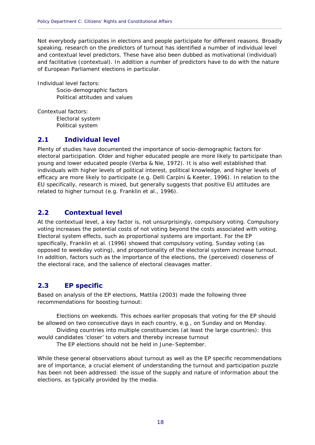Not everybody participates in elections and people participate for different reasons. Broadly speaking, research on the predictors of turnout has identified a number of individual level and contextual level predictors. These have also been dubbed as *motivational* (individual) and *facilitative* (contextual). In addition a number of predictors have to do with the nature of European Parliament elections in particular.

<span id="page-19-0"></span> $\_$  ,  $\_$  ,  $\_$  ,  $\_$  ,  $\_$  ,  $\_$  ,  $\_$  ,  $\_$  ,  $\_$  ,  $\_$  ,  $\_$  ,  $\_$  ,  $\_$  ,  $\_$  ,  $\_$  ,  $\_$  ,  $\_$  ,  $\_$  ,  $\_$  ,  $\_$  ,  $\_$  ,  $\_$  ,  $\_$  ,  $\_$  ,  $\_$  ,  $\_$  ,  $\_$  ,  $\_$  ,  $\_$  ,  $\_$  ,  $\_$  ,  $\_$  ,  $\_$  ,  $\_$  ,  $\_$  ,  $\_$  ,  $\_$  ,

Individual level factors:

Socio-demographic factors Political attitudes and values

Contextual factors:

Electoral system Political system

#### **2.1 Individual level**

 EU specifically, research is mixed, but generally suggests that positive EU attitudes are Plenty of studies have documented the importance of socio-demographic factors for electoral participation. Older and higher educated people are more likely to participate than young and lower educated people (Verba & Nie, 1972). It is also well established that individuals with higher levels of political interest, political knowledge, and higher levels of efficacy are more likely to participate (e.g. Delli Carpini & Keeter, 1996). In relation to the related to higher turnout (e.g. Franklin et al., 1996).

### **2.2 Contextual level**

At the contextual level, a key factor is, not unsurprisingly, compulsory voting. Compulsory voting increases the potential costs of *not* voting beyond the costs associated with voting. Electoral system effects, such as proportional systems are important. For the EP specifically, Franklin et al. (1996) showed that compulsory voting, Sunday voting (as opposed to weekday voting), and proportionality of the electoral system increase turnout. In addition, factors such as the importance of the elections, the (perceived) closeness of the electoral race, and the salience of electoral cleavages matter.

### **2.3 EP specific**

Based on analysis of the EP elections, Mattila (2003) made the following three recommendations for boosting turnout:

Elections on weekends. This echoes earlier proposals that voting for the EP should be allowed on two consecutive days in each country, e.g., on Sunday and on Monday.

Dividing countries into multiple constituencies (at least the large countries): this would candidates 'closer' to voters and thereby increase turnout

The EP elections should not be held in June-September.

While these general observations about turnout as well as the EP specific recommendations are of importance, a crucial element of understanding the turnout and participation puzzle has been not been addressed: the issue of the supply and nature of information about the elections, as typically provided by the *media*.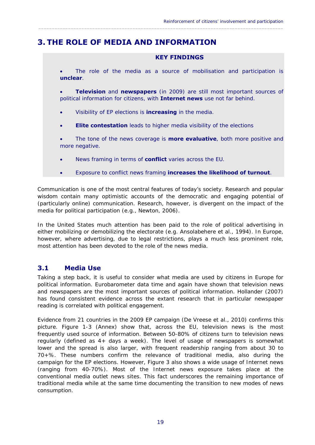### **3. THE ROLE OF MEDIA AND INFORMATION**

#### **KEY FINDINGS**

 The role of the media as a source of mobilisation and participation is **unclear**.

<span id="page-20-0"></span> $\_$  ,  $\_$  ,  $\_$  ,  $\_$  ,  $\_$  ,  $\_$  ,  $\_$  ,  $\_$  ,  $\_$  ,  $\_$  ,  $\_$  ,  $\_$  ,  $\_$  ,  $\_$  ,  $\_$  ,  $\_$  ,  $\_$  ,  $\_$  ,  $\_$  ,  $\_$  ,  $\_$  ,  $\_$  ,  $\_$  ,  $\_$  ,  $\_$  ,  $\_$  ,  $\_$  ,  $\_$  ,  $\_$  ,  $\_$  ,  $\_$  ,  $\_$  ,  $\_$  ,  $\_$  ,  $\_$  ,  $\_$  ,  $\_$  ,

 political information for citizens, with **Internet news** use not far behind. **Television** and **newspapers** (in 2009) are still most important sources of

- Visibility of EP elections is **increasing** in the media.
- **Elite contestation** leads to higher media visibility of the elections

 The tone of the news coverage is **more evaluative**, both more positive *and*  more negative.

- News framing in terms of **conflict** varies across the EU.
- Exposure to conflict news framing **increases the likelihood of turnout**.

Communication is one of the most central features of today's society. Research and popular wisdom contain many optimistic accounts of the democratic and engaging potential of (particularly online) communication. Research, however, is divergent on the impact of the media for political participation (e.g., Newton, 2006).

In the United States much attention has been paid to the role of political advertising in either mobilizing or demobilizing the electorate (e.g. Ansolabehere et al., 1994). In Europe, however, where advertising, due to legal restrictions, plays a much less prominent role, most attention has been devoted to the role of the *news media*.

#### **3.1 Media Use**

Taking a step back, it is useful to consider what media are used by citizens in Europe for political information. Eurobarometer data time and again have shown that television news and newspapers are the most important sources of political information. Hollander (2007) has found consistent evidence across the extant research that in particular newspaper reading is correlated with political engagement.

Evidence from 21 countries in the 2009 EP campaign (De Vreese et al., 2010) confirms this picture. Figure 1-3 (Annex) show that, across the EU, television news is the most frequently used source of information. Between 50-80% of citizens turn to television news regularly (defined as 4+ days a week). The level of usage of newspapers is somewhat lower and the spread is also larger, with frequent readership ranging from about 30 to 70+%. These numbers confirm the relevance of traditional media, also during the campaign for the EP elections. However, Figure 3 also shows a wide usage of Internet news (ranging from 40-70%). Most of the Internet news exposure takes place at the conventional media outlet news sites. This fact underscores the remaining importance of traditional media while at the same time documenting the transition to new modes of news consumption.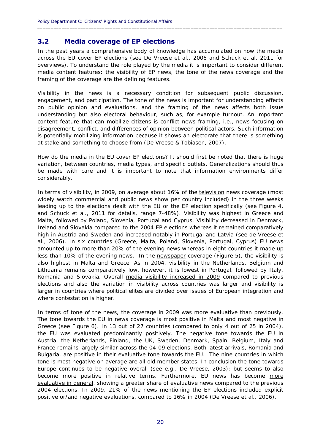#### **3.2 Media coverage of EP elections**

In the past years a comprehensive body of knowledge has accumulated on how the media across the EU cover EP elections (see De Vreese et al., 2006 and Schuck et al. 2011 for overviews). To understand the role played by the media it is important to consider different media content features: the *visibility* of EP news, the *tone* of the news coverage and the *framing* of the coverage are the defining features.

<span id="page-21-0"></span> $\_$  ,  $\_$  ,  $\_$  ,  $\_$  ,  $\_$  ,  $\_$  ,  $\_$  ,  $\_$  ,  $\_$  ,  $\_$  ,  $\_$  ,  $\_$  ,  $\_$  ,  $\_$  ,  $\_$  ,  $\_$  ,  $\_$  ,  $\_$  ,  $\_$  ,  $\_$  ,  $\_$  ,  $\_$  ,  $\_$  ,  $\_$  ,  $\_$  ,  $\_$  ,  $\_$  ,  $\_$  ,  $\_$  ,  $\_$  ,  $\_$  ,  $\_$  ,  $\_$  ,  $\_$  ,  $\_$  ,  $\_$  ,  $\_$  ,

Visibility in the news is a necessary condition for subsequent public discussion, engagement, and participation. The tone of the news is important for understanding effects on public opinion and evaluations, and the framing of the news affects both issue understanding but also electoral behaviour, such as, for example turnout. An important content feature that can mobilize citizens is *conflict* news framing, i.e., news focusing on disagreement, conflict, and differences of opinion between political actors. Such information is potentially mobilizing information because it shows an electorate that there is something at stake and something to choose from (De Vreese & Tobiasen, 2007).

How do the media in the EU cover EP elections? It should first be noted that there is huge variation, between countries, media types, and specific outlets. Generalizations should thus be made with care and it is important to note that information environments differ considerably.

In terms of *visibility*, in 2009, on average about 16% of the television news coverage (most widely watch commercial and public news show per country included) in the three weeks leading up to the elections dealt with the EU or the EP election specifically (see Figure 4, and Schuck et al., 2011 for details, range 7-48%). Visibility was highest in Greece and Malta, followed by Poland, Slovenia, Portugal and Cyprus. Visibility decreased in Denmark, Ireland and Slovakia compared to the 2004 EP elections whereas it remained comparatively high in Austria and Sweden and increased notably in Portugal and Latvia (see de Vreese et al., 2006). In six countries (Greece, Malta, Poland, Slovenia, Portugal, Cyprus) EU news amounted up to more than 20% of the evening news whereas in eight countries it made up less than 10% of the evening news. In the newspaper coverage (Figure 5), the visibility is also highest in Malta and Greece. As in 2004, visibility in the Netherlands, Belgium and Lithuania remains comparatively low, however, it is lowest in Portugal, followed by Italy, Romania and Slovakia. Overall media visibility increased in 2009 compared to previous elections and also the variation in visibility across countries was larger and visibility is larger in countries where political elites are divided over issues of European integration and where contestation is higher.

 Bulgaria, are positive in their evaluative tone towards the EU. The nine countries in which In terms of *tone* of the news, the coverage in 2009 was more evaluative than previously. The tone towards the EU in news coverage is most positive in Malta and most negative in Greece (see Figure 6). In 13 out of 27 countries (compared to only 4 out of 25 in 2004), the EU was evaluated predominantly positively. The negative tone towards the EU in Austria, the Netherlands, Finland, the UK, Sweden, Denmark, Spain, Belgium, Italy and France remains largely similar across the 04-09 elections. Both latest arrivals, Romania and tone is most negative on average are all old member states. In conclusion the tone towards Europe continues to be negative overall (see e.g., De Vreese, 2003); but seems to also become more positive in relative terms. Furthermore, EU news has become more evaluative in general, showing a greater share of evaluative news compared to the previous 2004 elections. In 2009, 21% of the news mentioning the EP elections included explicit positive or/and negative evaluations, compared to 16% in 2004 (De Vreese et al., 2006).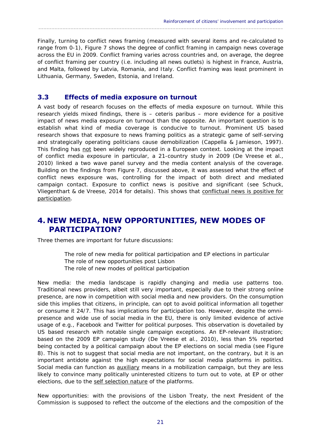Finally, turning to *conflict news framing* (measured with several items and re-calculated to range from 0-1), Figure 7 shows the degree of conflict framing in campaign news coverage across the EU in 2009. Conflict framing varies across countries and, on average, the degree of conflict framing per country (i.e. including all news outlets) is highest in France, Austria, and Malta, followed by Latvia, Romania, and Italy. Conflict framing was least prominent in Lithuania, Germany, Sweden, Estonia, and Ireland.

<span id="page-22-0"></span> $\_$  ,  $\_$  ,  $\_$  ,  $\_$  ,  $\_$  ,  $\_$  ,  $\_$  ,  $\_$  ,  $\_$  ,  $\_$  ,  $\_$  ,  $\_$  ,  $\_$  ,  $\_$  ,  $\_$  ,  $\_$  ,  $\_$  ,  $\_$  ,  $\_$  ,  $\_$  ,  $\_$  ,  $\_$  ,  $\_$  ,  $\_$  ,  $\_$  ,  $\_$  ,  $\_$  ,  $\_$  ,  $\_$  ,  $\_$  ,  $\_$  ,  $\_$  ,  $\_$  ,  $\_$  ,  $\_$  ,  $\_$  ,  $\_$  ,

#### **3.3 Effects of media exposure on turnout**

A vast body of research focuses on the effects of media exposure on turnout. While this research yields mixed findings, there is – ceteris paribus – more evidence for a positive impact of news media exposure on turnout than the opposite. An important question is to establish what kind of media coverage is conducive to turnout. Prominent US based research shows that exposure to news framing politics as a strategic game of self-serving and strategically operating politicians cause demobilization (Cappella & Jamieson, 1997). This finding has not been widely reproduced in a European context. Looking at the impact of *conflict* media exposure in particular, a 21-country study in 2009 (De Vreese et al., 2010) linked a two wave panel survey and the media content analysis of the coverage. Building on the findings from Figure 7, discussed above, it was assessed what the effect of conflict news exposure was, controlling for the impact of both direct and mediated campaign contact. Exposure to conflict news is positive and significant (see Schuck, Vliegenthart & de Vreese, 2014 for details). This shows that conflictual news is positive for participation.

### **4. NEW MEDIA, NEW OPPORTUNITIES, NEW MODES OF PARTICIPATION?**

Three themes are important for future discussions:

The role of new media for political participation and EP elections in particular The role of new opportunities post Lisbon The role of new modes of political participation

*New media*: the media landscape is rapidly changing and media use patterns too. Traditional news providers, albeit still very important, especially due to their strong online presence, are now in competition with social media and new providers. On the consumption side this implies that citizens, in principle, can opt to avoid political information all together or consume it 24/7. This has implications for participation too. However, despite the omnipresence and wide use of social media in the EU, there is only limited evidence of active usage of e.g., Facebook and Twitter for *political* purposes. This observation is dovetailed by US based research with notable single campaign exceptions. An EP-relevant illustration; based on the 2009 EP campaign study (De Vreese et al., 2010), less than 5% reported being contacted by a political campaign about the EP elections on social media (see Figure 8). This is not to suggest that social media are not important, on the contrary, but it is an important antidote against the high expectations for social media platforms in politics. Social media can function as auxiliary means in a mobilization campaign, but they are less likely to convince many politically uninterested citizens to turn out to vote, at EP or other elections, due to the self selection nature of the platforms.

*New opportunities*: with the provisions of the Lisbon Treaty, the next President of the Commission is supposed to reflect the outcome of the elections and the composition of the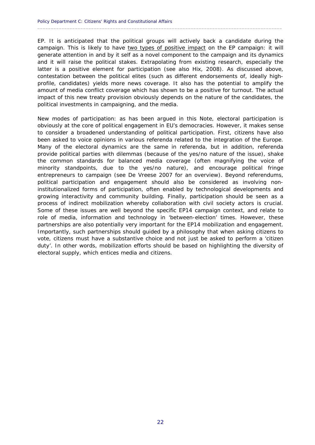campaign. This is likely to have two types of positive impact on the EP campaign: it will political investments in campaigning, and the media. EP. It is anticipated that the political groups will actively back a candidate during the generate attention in and by it self as a novel component to the campaign and its dynamics and it will raise the political stakes. Extrapolating from existing research, especially the latter is a positive element for participation (see also Hix, 2008). As discussed above, contestation between the political elites (such as different endorsements of, ideally highprofile, candidates) yields more news coverage. It also has the potential to amplify the amount of media conflict coverage which has shown to be a positive for turnout. The actual impact of this new treaty provision obviously depends on the nature of the candidates, the

 $\_$  ,  $\_$  ,  $\_$  ,  $\_$  ,  $\_$  ,  $\_$  ,  $\_$  ,  $\_$  ,  $\_$  ,  $\_$  ,  $\_$  ,  $\_$  ,  $\_$  ,  $\_$  ,  $\_$  ,  $\_$  ,  $\_$  ,  $\_$  ,  $\_$  ,  $\_$  ,  $\_$  ,  $\_$  ,  $\_$  ,  $\_$  ,  $\_$  ,  $\_$  ,  $\_$  ,  $\_$  ,  $\_$  ,  $\_$  ,  $\_$  ,  $\_$  ,  $\_$  ,  $\_$  ,  $\_$  ,  $\_$  ,  $\_$  ,

 *New modes of participation*: as has been argued in this Note, electoral participation is process of indirect mobilization whereby collaboration with civil society actors is crucial. obviously at the core of political engagement in EU's democracies. However, it makes sense to consider a broadened understanding of political participation. First, citizens have also been asked to voice opinions in various referenda related to the integration of the Europe. Many of the electoral dynamics are the same in referenda, but in addition, referenda provide political parties with dilemmas (because of the yes/no nature of the issue), shake the common standards for balanced media coverage (often magnifying the voice of minority standpoints, due to the yes/no nature), and encourage political fringe entrepreneurs to campaign (see De Vreese 2007 for an overview). Beyond referendums, political participation and engagement should also be considered as involving noninstitutionalized forms of participation, often enabled by technological developments and growing interactivity and community building. Finally, participation should be seen as a Some of these issues are well beyond the specific EP14 campaign context, and relate to role of media, information and technology in 'between-election' times. However, these partnerships are also potentially very important for the EP14 mobilization and engagement. Importantly, such partnerships should guided by a philosophy that when asking citizens to vote, citizens must have a substantive choice and not just be asked to perform a 'citizen duty'. In other words, mobilization efforts should be based on highlighting the diversity of electoral supply, which entices media and citizens.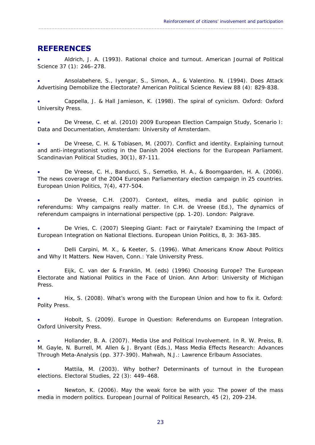### **REFERENCES**

 Aldrich, J. A. (1993). Rational choice and turnout. *American Journal of Political Science 37* (1): 246–278.

<span id="page-24-0"></span> $\_$  ,  $\_$  ,  $\_$  ,  $\_$  ,  $\_$  ,  $\_$  ,  $\_$  ,  $\_$  ,  $\_$  ,  $\_$  ,  $\_$  ,  $\_$  ,  $\_$  ,  $\_$  ,  $\_$  ,  $\_$  ,  $\_$  ,  $\_$  ,  $\_$  ,  $\_$  ,  $\_$  ,  $\_$  ,  $\_$  ,  $\_$  ,  $\_$  ,  $\_$  ,  $\_$  ,  $\_$  ,  $\_$  ,  $\_$  ,  $\_$  ,  $\_$  ,  $\_$  ,  $\_$  ,  $\_$  ,  $\_$  ,  $\_$  ,

 Ansolabehere, S., Iyengar, S., Simon, A., & Valentino. N. (1994). Does Attack Advertising Demobilize the Electorate? *American Political Science Review 88* (4): 829-838.

 Cappella, J. & Hall Jamieson, K. (1998). *The spiral of cynicism*. Oxford: Oxford University Press.

 De Vreese, C. et al. (2010) *2009 European Election Campaign Study, Scenario I: Data and Documentation*, Amsterdam: University of Amsterdam.

 De Vreese, C. H. & Tobiasen, M. (2007). Conflict and identity. Explaining turnout and anti-integrationist voting in the Danish 2004 elections for the European Parliament. *Scandinavian Political Studies, 30*(1), 87-111.

 De Vreese, C. H., Banducci, S., Semetko, H. A., & Boomgaarden, H. A. (2006). The news coverage of the 2004 European Parliamentary election campaign in 25 countries. *European Union Politics, 7*(4), 477-504.

 De Vreese, C.H. (2007). Context, elites, media and public opinion in referendums: Why campaigns really matter. In C.H. de Vreese (Ed.), *The dynamics of referendum campaigns in international perspective* (pp. 1-20). London: Palgrave.

 De Vries, C. (2007) Sleeping Giant: Fact or Fairytale? Examining the Impact of European Integration on National Elections. *European Union Politics*, *8,* 3: 363-385.

 Delli Carpini, M. X., & Keeter, S. (1996). *What Americans Know About Politics and Why It Matters*. New Haven, Conn.: Yale University Press.

 Eijk, C. van der & Franklin, M. (eds) (1996) *Choosing Europe? The European Electorate and National Politics in the Face of Union*. Ann Arbor: University of Michigan Press.

 Polity Press. Hix, S. (2008). *What's wrong with the European Union and how to fix it*. Oxford:

 Hobolt, S. (2009). *Europe in Question: Referendums on European Integration*. Oxford University Press.

 Hollander, B. A. (2007). Media Use and Political Involvement. In R. W. Preiss, B. M. Gayle, N. Burrell, M. Allen & J. Bryant (Eds.), *Mass Media Effects Research: Advances Through Meta-Analysis* (pp. 377-390). Mahwah, N.J.: Lawrence Erlbaum Associates.

 Mattila, M. (2003). Why bother? Determinants of turnout in the European elections. *Electoral Studies, 22* (3): 449–468.

 Newton, K. (2006). May the weak force be with you: The power of the mass media in modern politics. *European Journal of Political Research, 45* (2), 209-234.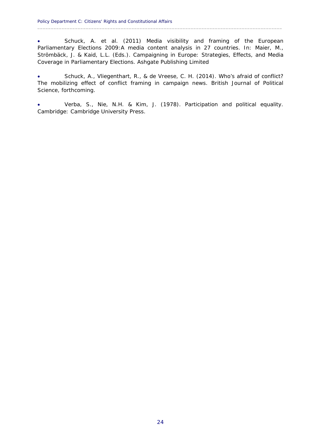Schuck, A. et al. (2011) Media visibility and framing of the European Parliamentary Elections 2009: A media content analysis in 27 countries. In: Maier, M., Strömbäck, J. & Kaid, L.L. (Eds.). *Campaigning in Europe: Strategies, Effects, and Media Coverage in Parliamentary Elections*. Ashgate Publishing Limited

 $\_$  ,  $\_$  ,  $\_$  ,  $\_$  ,  $\_$  ,  $\_$  ,  $\_$  ,  $\_$  ,  $\_$  ,  $\_$  ,  $\_$  ,  $\_$  ,  $\_$  ,  $\_$  ,  $\_$  ,  $\_$  ,  $\_$  ,  $\_$  ,  $\_$  ,  $\_$  ,  $\_$  ,  $\_$  ,  $\_$  ,  $\_$  ,  $\_$  ,  $\_$  ,  $\_$  ,  $\_$  ,  $\_$  ,  $\_$  ,  $\_$  ,  $\_$  ,  $\_$  ,  $\_$  ,  $\_$  ,  $\_$  ,  $\_$  ,

 Schuck, A., Vliegenthart, R., & de Vreese, C. H. (2014). Who's afraid of conflict? The mobilizing effect of conflict framing in campaign news. *British Journal of Political Science*, forthcoming.

 Verba, S., Nie, N.H. & Kim, J. (1978). *Participation and political equality*. Cambridge: Cambridge University Press.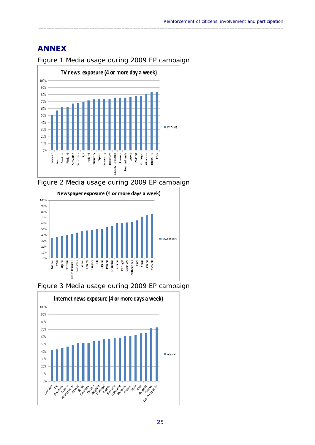### **ANNEX**



Figure 1 Media usage during 2009 EP campaign

<span id="page-26-0"></span> $\_$  ,  $\_$  ,  $\_$  ,  $\_$  ,  $\_$  ,  $\_$  ,  $\_$  ,  $\_$  ,  $\_$  ,  $\_$  ,  $\_$  ,  $\_$  ,  $\_$  ,  $\_$  ,  $\_$  ,  $\_$  ,  $\_$  ,  $\_$  ,  $\_$  ,  $\_$  ,  $\_$  ,  $\_$  ,  $\_$  ,  $\_$  ,  $\_$  ,  $\_$  ,  $\_$  ,  $\_$  ,  $\_$  ,  $\_$  ,  $\_$  ,  $\_$  ,  $\_$  ,  $\_$  ,  $\_$  ,  $\_$  ,  $\_$  ,

Figure 2 Media usage during 2009 EP campaign





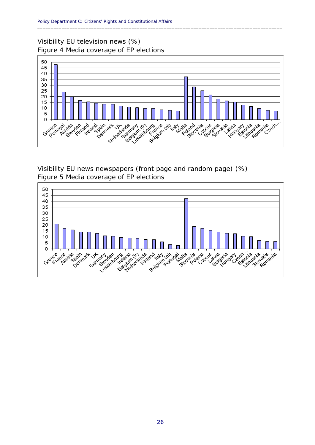#### Visibility EU television news (%) Figure 4 Media coverage of EP elections



<span id="page-27-0"></span> $\_$  ,  $\_$  ,  $\_$  ,  $\_$  ,  $\_$  ,  $\_$  ,  $\_$  ,  $\_$  ,  $\_$  ,  $\_$  ,  $\_$  ,  $\_$  ,  $\_$  ,  $\_$  ,  $\_$  ,  $\_$  ,  $\_$  ,  $\_$  ,  $\_$  ,  $\_$  ,  $\_$  ,  $\_$  ,  $\_$  ,  $\_$  ,  $\_$  ,  $\_$  ,  $\_$  ,  $\_$  ,  $\_$  ,  $\_$  ,  $\_$  ,  $\_$  ,  $\_$  ,  $\_$  ,  $\_$  ,  $\_$  ,  $\_$  ,

Visibility EU news newspapers (front page and random page) (%) Figure 5 Media coverage of EP elections

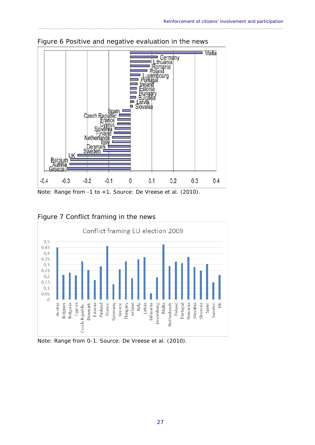

Figure 6 Positive and negative evaluation in the news

<span id="page-28-0"></span> $\_$  ,  $\_$  ,  $\_$  ,  $\_$  ,  $\_$  ,  $\_$  ,  $\_$  ,  $\_$  ,  $\_$  ,  $\_$  ,  $\_$  ,  $\_$  ,  $\_$  ,  $\_$  ,  $\_$  ,  $\_$  ,  $\_$  ,  $\_$  ,  $\_$  ,  $\_$  ,  $\_$  ,  $\_$  ,  $\_$  ,  $\_$  ,  $\_$  ,  $\_$  ,  $\_$  ,  $\_$  ,  $\_$  ,  $\_$  ,  $\_$  ,  $\_$  ,  $\_$  ,  $\_$  ,  $\_$  ,  $\_$  ,  $\_$  ,

Note: Range from -1 to +1. Source: De Vreese et al. (2010).



#### Figure 7 Conflict framing in the news

Note: Range from 0-1. Source: De Vreese et al. (2010).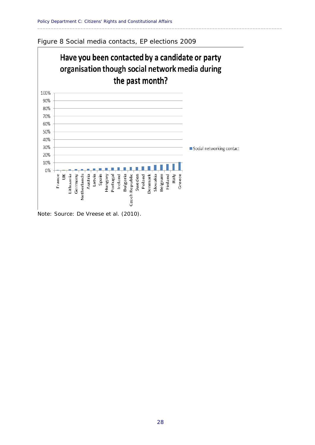



<span id="page-29-0"></span> $\_$  ,  $\_$  ,  $\_$  ,  $\_$  ,  $\_$  ,  $\_$  ,  $\_$  ,  $\_$  ,  $\_$  ,  $\_$  ,  $\_$  ,  $\_$  ,  $\_$  ,  $\_$  ,  $\_$  ,  $\_$  ,  $\_$  ,  $\_$  ,  $\_$  ,  $\_$  ,  $\_$  ,  $\_$  ,  $\_$  ,  $\_$  ,  $\_$  ,  $\_$  ,  $\_$  ,  $\_$  ,  $\_$  ,  $\_$  ,  $\_$  ,  $\_$  ,  $\_$  ,  $\_$  ,  $\_$  ,  $\_$  ,  $\_$  ,

Note: Source: De Vreese et al. (2010).